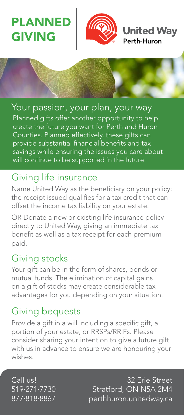PLANN GIVING



**Jnited Wav** 

Perth-Huron

Your passion, your plan, your way Planned gifts offer another opportunity to help create the future you want for Perth and Huron Counties. Planned effectively, these gifts can provide substantial financial benefits and tax savings while ensuring the issues you care about will continue to be supported in the future.

# Giving life insurance

Name United Way as the beneficiary on your policy; the receipt issued qualifies for a tax credit that can offset the income tax liability on your estate.

OR Donate a new or existing life insurance policy directly to United Way, giving an immediate tax benefit as well as a tax receipt for each premium paid.

### Giving stocks

Your gift can be in the form of shares, bonds or mutual funds. The elimination of capital gains on a gift of stocks may create considerable tax advantages for you depending on your situation.

## Giving bequests

Provide a gift in a will including a specific gift, a portion of your estate, or RRSPs/RRIFs. Please consider sharing your intention to give a future gift with us in advance to ensure we are honouring your wishes.

Call us! 519·271·7730 877·818·8867

32 Erie Street Stratford, ON N5A 2M4 perthhuron.unitedway.ca